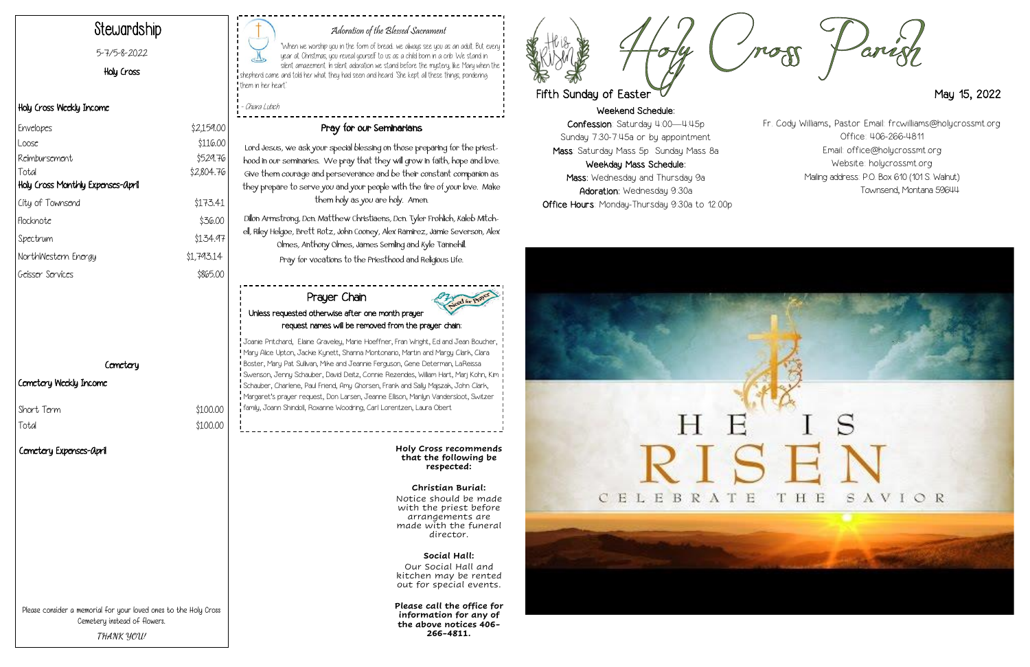Weekend Schedule: Confession: Saturday 4:00—4:45p Sunday 7:30-7:45a or by appointment Mass: Saturday Mass 5p Sunday Mass 8a Weekday Mass Schedule: Mass: Wednesday and Thursday 9a Adoration: Wednesday 9:30a Office Hours: Monday-Thursday 9:30a to 12:00p

# Е





#### Adoration of the Blessed Sacrament

"When we worship you in the form of bread.. we always see you as an adult. But every year at Christmas, you reveal yourself to us as a child born in a crib. We stand in silent amazement. In silent adoration we stand before the mystery, like Mary when the ! shepherd came and told her what they had seen and heard: 'She kept all these things, pondering them in her heart.'

- Chiara Lubich

# Stewardship

#### 5-7/5-8-2022

Holy Cross

#### Holy Cross Weekly Income

#### Cemetery Weekly Income

Short Term  $$100.00$ 

Total \$100.00

#### Pray for our Seminarians

Lord Jesus, we ask your special blessing on those preparing for the priesthood in our seminaries. We pray that they will grow in faith, hope and love. Give them courage and perseverance and be their constant companion as they prepare to serve you and your people with the fire of your love. Make them holy as you are holy. Amen.

| Envelopes                         | \$2,159.00 |
|-----------------------------------|------------|
| Loose                             | \$116.00   |
| Reimbursement                     | \$529.76   |
| Total                             | \$2,804.76 |
| Holy Cross Monthly Expenses-april |            |
| City of Townsend                  | \$173.41   |
| Flocknote                         | \$36.00    |
| Spectrum                          | \$134.97   |
| NorthWestern Energy               | \$1,793.14 |
| Geisser Services                  | \$865.00   |

#### **Cemetery**

Dillon Armstrong, Dcn. Matthew Christiaens, Dcn. Tyler Frohlich, Kaleb Mitchell, Riley Helgoe, Brett Rotz, John Cooney, Alex Ramirez, Jamie Severson, Alex Olmes, Anthony Olmes, James Semling and Kyle Tannehill. Pray for vocations to the Priesthood and Religious Life.

Please consider a memorial for your loved ones to the Holy Cross Cemetery instead of flowers. **THANK YOU!**

**Holy Cross recommends that the following be respected:**

**Christian Burial:** Notice should be made with the priest before arrangements are made with the funeral director.

**Social Hall:**  Our Social Hall and kitchen may be rented out for special events.

**Please call the office for information for any of the above notices 406- 266-4811.**



# Fifth Sunday of Easter May 15, 2022

#### Prayer Chain Unless requested otherwise after one month prayer request names will be removed from the prayer chain:



Fr. Cody Williams, Pastor Email: frcwilliams@holycrossmt.org Office: 406-266-4811 Email: office@holycrossmt.org Website: holycrossmt.org Mailing address: P.O. Box 610 (101 S. Walnut) Townsend, Montana 59644

#### Cemetery Expenses-April